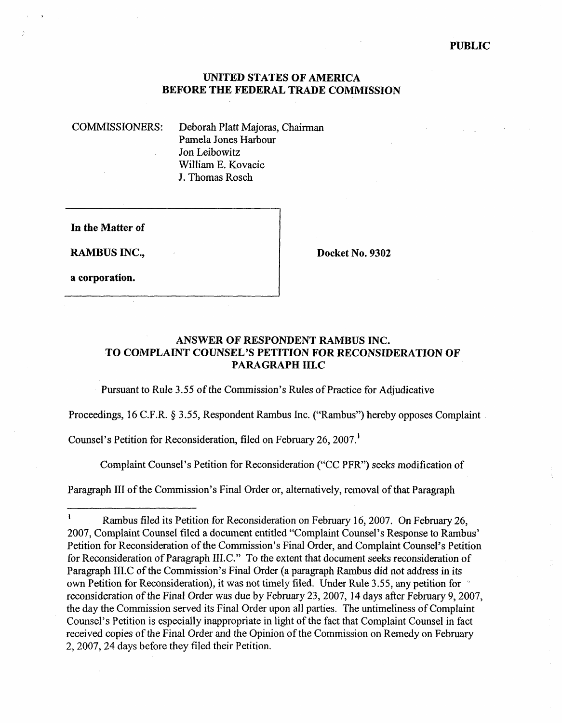#### **PUBLIC**

### **UNITED STATES OF AMERICA BEFORE THE FEDERAL TRADE COMMISSION**

COMMISSIONERS: Deborah Platt Majoras, Chairman Pamela Jones Harbour Jon Leibowitz William E. Kovacic J. Thomas Rosch

**In the Matter of** 

**RAMBUS INC., Docket No. 9302** 

**a corporation.** 

## **ANSWER OF RESPONDENT RAMBUS INC. TO COMPLAINT COUNSEL'S PETITION FOR RECONSIDERATION OF PARAGRAPH 1II.C**

Pursuant to Rule *3.55* of the Commission's Rules of Practice for Adjudicative

Proceedings, 16 C.F.R. § 3.55, Respondent Rambus Inc. ("Rambus") hereby opposes Complaint.

Counsel's Petition for Reconsideration, filed on February 26, 2007.

Complaint Counsel's Petition for Reconsideration ("CC PFR") seeks modification of

Paragraph III of the Commission's Final Order or, alternatively, removal of that Paragraph<br>
————————————————————

**<sup>1</sup>**  Rarnbus filed its Petition for Reconsideration on February 16,2007. On February 26, 2007, Complaint Counsel filed a document entitled "Complaint Counsel's Response to Rarnbus' Petition for Reconsideration of the Commission's Final Order, and Complaint Counsel's Petition for Reconsideration of Paragraph 1II.C." To the extent that document seeks reconsideration of Paragraph II1.C of the Commission's Final Order (a paragraph Rarnbus did not address in its own Petition for Reconsideration), it was not timely filed. Under Rule 3.55, any petition for " reconsideration of the Final Order was due by February 23,2007, 14 days after February 9,2007, the day the Commission served its Final Order upon all parties. The untimeliness of Complaint Counsel's Petition is especially inappropriate in light of the fact that Complaint Counsel in fact received copies of the Final Order and the Opinion of the Commission on Remedy on February 2,2007,24 days before they filed their Petition.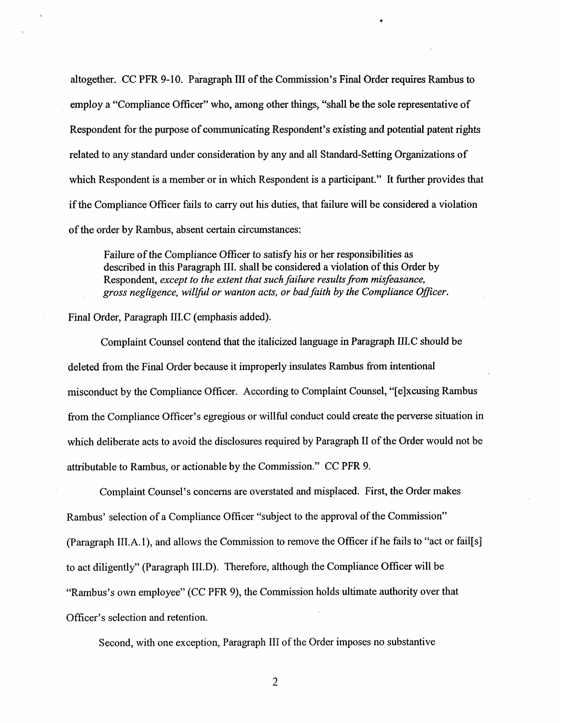altogether. CC PFR 9-10. paragraph I11 of the Commission's Final Order requires Rambus to employ a "Compliance Officer" who, among other things, "shall be the sole representative of Respondent for the purpose of communicating Respondent's existing and potential patent rights related to any standard under consideration by any and all Standard-Setting Organizations of which Respondent is a member or in which Respondent is a participant." It further provides that if the Compliance Officer fails to carry out his duties, that failure will be considered a violation of the order by Rambus, absent certain circumstances:

Failure of the Compliance Officer to satisfy his or her responsibilities as described in this Paragraph 111. shall be considered a violation of this Order by Respondent, *except to the extent that such failure results from misfeasance, gross negligence, willful or wanton acts, or badfaith by the Compliance Oficer.* 

Final Order, Paragraph IILC (emphasis added).

Complaint Counsel contend that the italicized language in Paragraph IILC should be deleted from the Final Order because it improperly insulates Rambus from intentional misconduct by the Compliance Officer. According to Complaint Counsel, "[e]xcusing Rambus from the Compliance Officer's egregious or willful conduct could create the perverse situation in which deliberate acts to avoid the disclosures required by Paragraph I1 of the Order would not be attributable to Rambus, or actionable by the Commission." CC PFR 9.

Complaint Counsel's concerns are overstated and misplaced. First, the Order makes Rambus' selection of a Compliance Officer "subject to the approval of the Commission" (Paragraph **1II.A.**I), and allows the Commission to remove the Officer if he fails to "act or fail[s] to act diligently" (Paragraph IILD). Therefore, although the Compliance Officer will be "Rambus's own employee" (CC PFR **9),** the Commission holds ultimate authority over that Officer's selection and retention.

Second, with one exception, Paragraph I11 of the Order imposes no substantive

 $\overline{2}$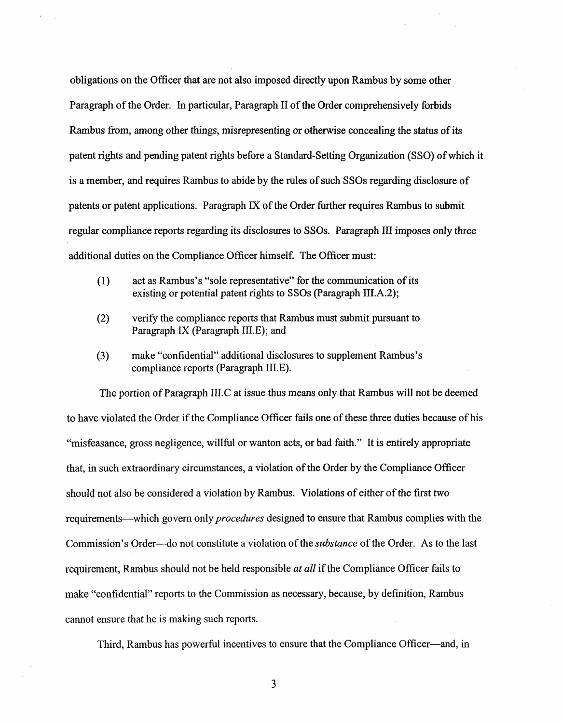obligations on the Officer that are not also imposed directly upon Rambus by some other Paragraph of the Order. In particular, Paragraph I1 of the Order comprehensively forbids Rambus from, among other things, misrepresenting or otherwise concealing the status of its patent rights and pending patent rights before a Standard-Setting Organization (SSO) of which it is a member, and requires Rambus to abide by the rules of such SSOs regarding disclosure of patents or patent applications. Paragraph **M** of the Order further requires Rambus to submit regular compliance reports regarding its disclosures to SSOs. Paragraph **111** imposes only three additional duties on the Compliance Officer himself. The Officer must:

- (1) act as Rambus's "sole representative" for the communication of its existing or potential patent rights to SSOs (Paragraph III.A.2);
- (2) verify the compliance reports that Rambus must submit pursuant to Paragraph IX (Paragraph II1.E); and
- **(3)**  make "confidential" additional disclosures to supplement Rambus's compliance reports (Paragraph II1.E).

The portion of Paragraph IILC at issue thus means only that Rambus will not be deemed to have violated the Order if the Compliance Officer fails one of these three duties because of his "misfeasance, gross negligence, willful or wanton acts, or bad faith." It is entirely appropriate that, in such extraordinary circumstances, a violation of the Order by the Compliance Officer should not also be considered a violation by Rambus. Violations of either of the first two requirements-which govern only *procedures* designed to ensure that Rambus complies with the Commission's Order---do not constitute a violation of the *substance* of the Order. As to the last requirement, Rambus should not be held responsible *at all* if the Compliance Officer fails to make "confidential" reports to the Commission as necessary, because, by definition, Rambus cannot ensure that he is making such reports.

Third, Rambus has powerful incentives to ensure that the Compliance Officer—and, in

3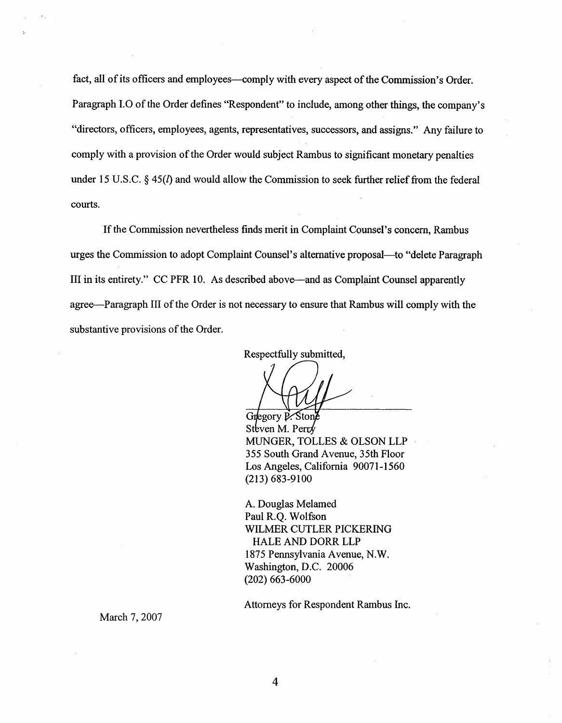fact, all of its officers and employees—comply with every aspect of the Commission's Order. Paragraph 1.0 of the Order defines "Respondent" to include, among other things, the company's "directors, officers, employees, agents, representatives, successors, and assigns." Any failure to comply with a provision of the Order would subject Rambus to significant monetary penalties under 15 U.S.C. § 45(*l*) and would allow the Commission to seek further relief from the federal courts.

If the Commission nevertheless finds merit in Complaint Counsel's concern, Rarnbus urges the Commission to adopt Complaint Counsel's alternative proposal-to "delete Paragraph 111 in its entirety." CC PFR 10. As described above-and as Complaint Counsel apparently agree—Paragraph III of the Order is not necessary to ensure that Rambus will comply with the substantive provisions of the Order.

Respectfully submitted,

Gregory P. Stone Steven M. Perr $\sqrt{k}$ MUNGER, TOLLES & OLSON LLP . 355 South Grand Avenue, 35th Floor Los Angeles, California 90071-1560 (2 13) 683-9 100

**A.** Douglas Melamed Paul R.Q. Wolfson WILMER CUTLER PICKERING HALE AND DORR LLP 1875 Pennsylvania Avenue, N.W. Washington, D.C. 20006 (202) 663-6000

Attorneys for Respondent Rambus Inc.

March 7, 2007